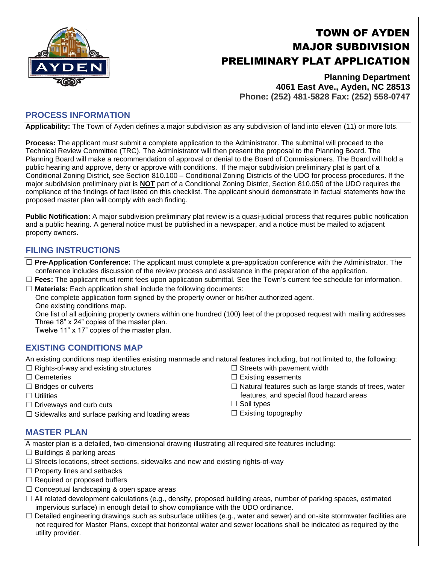

# TOWN OF AYDEN MAJOR SUBDIVISION PRELIMINARY PLAT APPLICATION

**Planning Department 4061 East Ave., Ayden, NC 28513 Phone: (252) 481-5828 Fax: (252) 558-0747**

# **PROCESS INFORMATION**

**Applicability:** The Town of Ayden defines a major subdivision as any subdivision of land into eleven (11) or more lots.

**Process:** The applicant must submit a complete application to the Administrator. The submittal will proceed to the Technical Review Committee (TRC). The Administrator will then present the proposal to the Planning Board. The Planning Board will make a recommendation of approval or denial to the Board of Commissioners. The Board will hold a public hearing and approve, deny or approve with conditions. If the major subdivision preliminary plat is part of a Conditional Zoning District, see Section 810.100 – Conditional Zoning Districts of the UDO for process procedures. If the major subdivision preliminary plat is **NOT** part of a Conditional Zoning District, Section 810.050 of the UDO requires the compliance of the findings of fact listed on this checklist. The applicant should demonstrate in factual statements how the proposed master plan will comply with each finding.

**Public Notification:** A major subdivision preliminary plat review is a quasi-judicial process that requires public notification and a public hearing. A general notice must be published in a newspaper, and a notice must be mailed to adjacent property owners.

## **FILING INSTRUCTIONS**

☐ **Pre-Application Conference:** The applicant must complete a pre-application conference with the Administrator. The conference includes discussion of the review process and assistance in the preparation of the application.

☐ **Fees:** The applicant must remit fees upon application submittal. See the Town's current fee schedule for information. ☐ **Materials:** Each application shall include the following documents:

One complete application form signed by the property owner or his/her authorized agent. One existing conditions map.

One list of all adjoining property owners within one hundred (100) feet of the proposed request with mailing addresses Three 18" x 24" copies of the master plan.

Twelve 11" x 17" copies of the master plan.

## **EXISTING CONDITIONS MAP**

An existing conditions map identifies existing manmade and natural features including, but not limited to, the following:

- $\Box$  Rights-of-way and existing structures
- ☐ Cemeteries
- ☐ Bridges or culverts
- ☐ Utilities
- $\Box$  Driveways and curb cuts
- $\Box$  Sidewalks and surface parking and loading areas
- $\Box$  Streets with pavement width  $\Box$  Existing easements
- $\Box$  Natural features such as large stands of trees, water features, and special flood hazard areas
- □ Soil types
- $\Box$  Existing topography

#### **MASTER PLAN**

A master plan is a detailed, two-dimensional drawing illustrating all required site features including:

- $\Box$  Buildings & parking areas
- $\Box$  Streets locations, street sections, sidewalks and new and existing rights-of-way
- ☐ Property lines and setbacks
- ☐ Required or proposed buffers
- $\Box$  Conceptual landscaping & open space areas
- $\Box$  All related development calculations (e.g., density, proposed building areas, number of parking spaces, estimated impervious surface) in enough detail to show compliance with the UDO ordinance.
- $\Box$  Detailed engineering drawings such as subsurface utilities (e.g., water and sewer) and on-site stormwater facilities are not required for Master Plans, except that horizontal water and sewer locations shall be indicated as required by the utility provider.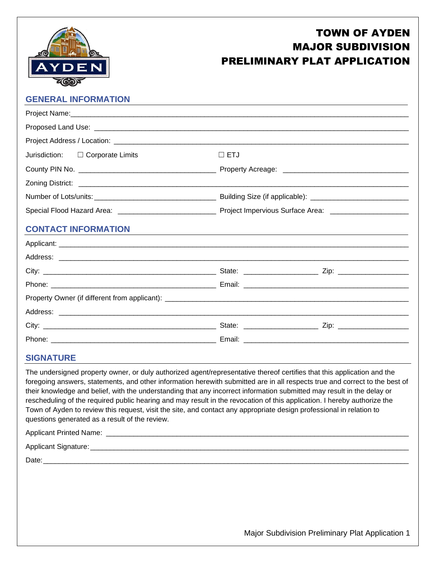

# TOWN OF AYDEN MAJOR SUBDIVISION PRELIMINARY PLAT APPLICATION

# **GENERAL INFORMATION**

| Jurisdiction: $\Box$ Corporate Limits | $\square$ ETJ |
|---------------------------------------|---------------|
|                                       |               |
|                                       |               |
|                                       |               |
|                                       |               |
| <b>CONTACT INFORMATION</b>            |               |
|                                       |               |
|                                       |               |
|                                       |               |
|                                       |               |
|                                       |               |
|                                       |               |
|                                       |               |
|                                       |               |

## **SIGNATURE**

The undersigned property owner, or duly authorized agent/representative thereof certifies that this application and the foregoing answers, statements, and other information herewith submitted are in all respects true and correct to the best of their knowledge and belief, with the understanding that any incorrect information submitted may result in the delay or rescheduling of the required public hearing and may result in the revocation of this application. I hereby authorize the Town of Ayden to review this request, visit the site, and contact any appropriate design professional in relation to questions generated as a result of the review.

| Applicant Printed Name: |
|-------------------------|
| Applicant Signature:    |
| Date:                   |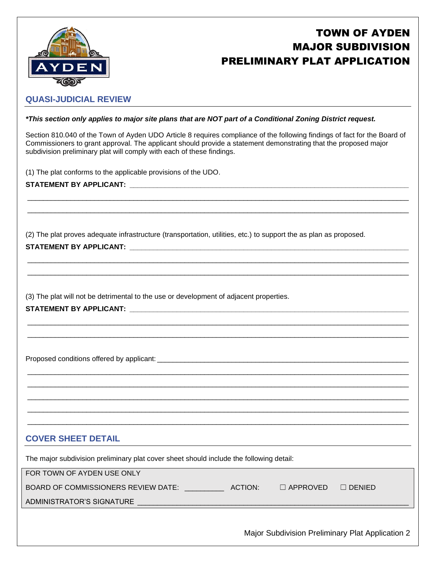

# TOWN OF AYDEN MAJOR SUBDIVISION PRELIMINARY PLAT APPLICATION

# **QUASI-JUDICIAL REVIEW**

#### *\*This section only applies to major site plans that are NOT part of a Conditional Zoning District request.*

Section 810.040 of the Town of Ayden UDO Article 8 requires compliance of the following findings of fact for the Board of Commissioners to grant approval. The applicant should provide a statement demonstrating that the proposed major subdivision preliminary plat will comply with each of these findings.

\_\_\_\_\_\_\_\_\_\_\_\_\_\_\_\_\_\_\_\_\_\_\_\_\_\_\_\_\_\_\_\_\_\_\_\_\_\_\_\_\_\_\_\_\_\_\_\_\_\_\_\_\_\_\_\_\_\_\_\_\_\_\_\_\_\_\_\_\_\_\_\_\_\_\_\_\_\_\_\_\_\_\_\_\_\_\_\_\_\_\_\_\_\_\_\_\_  $\_$  ,  $\_$  ,  $\_$  ,  $\_$  ,  $\_$  ,  $\_$  ,  $\_$  ,  $\_$  ,  $\_$  ,  $\_$  ,  $\_$  ,  $\_$  ,  $\_$  ,  $\_$  ,  $\_$  ,  $\_$  ,  $\_$  ,  $\_$  ,  $\_$  ,  $\_$  ,  $\_$  ,  $\_$  ,  $\_$  ,  $\_$  ,  $\_$  ,  $\_$  ,  $\_$  ,  $\_$  ,  $\_$  ,  $\_$  ,  $\_$  ,  $\_$  ,  $\_$  ,  $\_$  ,  $\_$  ,  $\_$  ,  $\_$  ,

\_\_\_\_\_\_\_\_\_\_\_\_\_\_\_\_\_\_\_\_\_\_\_\_\_\_\_\_\_\_\_\_\_\_\_\_\_\_\_\_\_\_\_\_\_\_\_\_\_\_\_\_\_\_\_\_\_\_\_\_\_\_\_\_\_\_\_\_\_\_\_\_\_\_\_\_\_\_\_\_\_\_\_\_\_\_\_\_\_\_\_\_\_\_\_\_\_ \_\_\_\_\_\_\_\_\_\_\_\_\_\_\_\_\_\_\_\_\_\_\_\_\_\_\_\_\_\_\_\_\_\_\_\_\_\_\_\_\_\_\_\_\_\_\_\_\_\_\_\_\_\_\_\_\_\_\_\_\_\_\_\_\_\_\_\_\_\_\_\_\_\_\_\_\_\_\_\_\_\_\_\_\_\_\_\_\_\_\_\_\_\_\_\_\_

 $\_$  ,  $\_$  ,  $\_$  ,  $\_$  ,  $\_$  ,  $\_$  ,  $\_$  ,  $\_$  ,  $\_$  ,  $\_$  ,  $\_$  ,  $\_$  ,  $\_$  ,  $\_$  ,  $\_$  ,  $\_$  ,  $\_$  ,  $\_$  ,  $\_$  ,  $\_$  ,  $\_$  ,  $\_$  ,  $\_$  ,  $\_$  ,  $\_$  ,  $\_$  ,  $\_$  ,  $\_$  ,  $\_$  ,  $\_$  ,  $\_$  ,  $\_$  ,  $\_$  ,  $\_$  ,  $\_$  ,  $\_$  ,  $\_$  , \_\_\_\_\_\_\_\_\_\_\_\_\_\_\_\_\_\_\_\_\_\_\_\_\_\_\_\_\_\_\_\_\_\_\_\_\_\_\_\_\_\_\_\_\_\_\_\_\_\_\_\_\_\_\_\_\_\_\_\_\_\_\_\_\_\_\_\_\_\_\_\_\_\_\_\_\_\_\_\_\_\_\_\_\_\_\_\_\_\_\_\_\_\_\_\_\_

\_\_\_\_\_\_\_\_\_\_\_\_\_\_\_\_\_\_\_\_\_\_\_\_\_\_\_\_\_\_\_\_\_\_\_\_\_\_\_\_\_\_\_\_\_\_\_\_\_\_\_\_\_\_\_\_\_\_\_\_\_\_\_\_\_\_\_\_\_\_\_\_\_\_\_\_\_\_\_\_\_\_\_\_\_\_\_\_\_\_\_\_\_\_\_\_\_  $\overline{\phantom{a}}$  , and the set of the set of the set of the set of the set of the set of the set of the set of the set of the set of the set of the set of the set of the set of the set of the set of the set of the set of the s  $\_$  ,  $\_$  ,  $\_$  ,  $\_$  ,  $\_$  ,  $\_$  ,  $\_$  ,  $\_$  ,  $\_$  ,  $\_$  ,  $\_$  ,  $\_$  ,  $\_$  ,  $\_$  ,  $\_$  ,  $\_$  ,  $\_$  ,  $\_$  ,  $\_$  ,  $\_$  ,  $\_$  ,  $\_$  ,  $\_$  ,  $\_$  ,  $\_$  ,  $\_$  ,  $\_$  ,  $\_$  ,  $\_$  ,  $\_$  ,  $\_$  ,  $\_$  ,  $\_$  ,  $\_$  ,  $\_$  ,  $\_$  ,  $\_$  ,  $\_$  ,  $\_$  ,  $\_$  ,  $\_$  ,  $\_$  ,  $\_$  ,  $\_$  ,  $\_$  ,  $\_$  ,  $\_$  ,  $\_$  ,  $\_$  ,  $\_$  ,  $\_$  ,  $\_$  ,  $\_$  ,  $\_$  ,  $\_$  ,  $\_$  ,  $\_$  ,  $\_$  ,  $\_$  ,  $\_$  ,  $\_$  ,  $\_$  ,  $\_$  ,  $\_$  ,  $\_$  ,  $\_$  ,  $\_$  ,  $\_$  ,  $\_$  ,  $\_$  ,  $\_$  ,  $\_$  ,  $\_$  ,  $\_$  , \_\_\_\_\_\_\_\_\_\_\_\_\_\_\_\_\_\_\_\_\_\_\_\_\_\_\_\_\_\_\_\_\_\_\_\_\_\_\_\_\_\_\_\_\_\_\_\_\_\_\_\_\_\_\_\_\_\_\_\_\_\_\_\_\_\_\_\_\_\_\_\_\_\_\_\_\_\_\_\_\_\_\_\_\_\_\_\_\_\_\_\_\_\_\_\_\_

(1) The plat conforms to the applicable provisions of the UDO.

# **STATEMENT BY APPLICANT: \_\_\_\_\_\_\_\_\_\_\_\_\_\_\_\_\_\_\_\_\_\_\_\_\_\_\_\_\_\_\_\_\_\_\_\_\_\_\_\_\_\_\_\_\_\_\_\_\_\_\_\_\_\_\_\_\_\_\_\_\_\_\_\_\_\_\_\_\_\_\_**

(2) The plat proves adequate infrastructure (transportation, utilities, etc.) to support the as plan as proposed.

## **STATEMENT BY APPLICANT: \_\_\_\_\_\_\_\_\_\_\_\_\_\_\_\_\_\_\_\_\_\_\_\_\_\_\_\_\_\_\_\_\_\_\_\_\_\_\_\_\_\_\_\_\_\_\_\_\_\_\_\_\_\_\_\_\_\_\_\_\_\_\_\_\_\_\_\_\_\_\_**

(3) The plat will not be detrimental to the use or development of adjacent properties.

## STATEMENT BY APPLICANT:

Proposed conditions offered by applicant: \_\_\_\_\_\_\_\_\_\_\_\_\_\_\_\_\_\_\_\_\_\_\_\_\_\_\_\_\_\_\_\_\_\_\_\_\_\_\_\_\_\_\_\_\_\_\_\_\_\_\_\_\_\_\_\_\_\_\_\_\_\_\_\_

## **COVER SHEET DETAIL**

The major subdivision preliminary plat cover sheet should include the following detail:

FOR TOWN OF AYDEN USE ONLY

BOARD OF COMMISSIONERS REVIEW DATE: ACTION: □ APPROVED □ DENIED

ADMINISTRATOR'S SIGNATURE \_\_\_\_\_\_\_\_\_\_\_\_\_\_\_\_\_\_\_\_\_\_\_\_\_\_\_\_\_\_\_\_\_\_\_\_\_\_\_\_\_\_\_\_\_\_\_\_\_\_\_\_\_\_\_\_\_\_\_\_\_\_\_\_\_\_\_\_\_

Major Subdivision Preliminary Plat Application 2